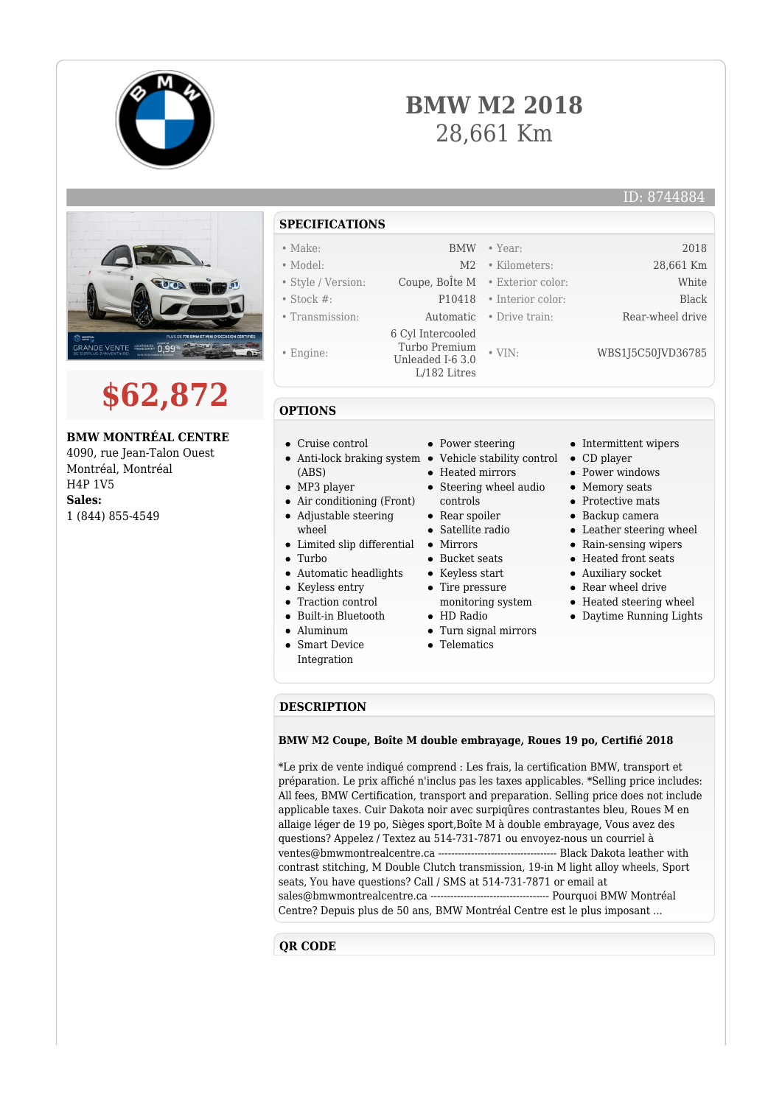

# **BMW M2 2018** 28,661 Km





# **BMW MONTRÉAL CENTRE**

4090, rue Jean-Talon Ouest Montréal, Montréal H4P 1V5 **Sales:** 1 (844) 855-4549

# **SPECIFICATIONS**

- 
- 
- 
- Engine:

## • Model: M2 • Kilometers: 28,661 Km • Style / Version: Coupe, BoÎte M • Exterior color: White • Stock #: P10418 • Interior color: Black • Transmission: Automatic • Drive train: Rear-wheel drive 6 Cyl Intercooled Turbo Premium Unleaded I-6 3.0

L/182 Litres

• Make: BMW • Year: 2018

• VIN: WBS1J5C50JVD36785

- Intermittent wipers CD player
- Power windows
- Memory seats
- Protective mats
- Backup camera
- Leather steering wheel
- Rain-sensing wipers
- Heated front seats
- Auxiliary socket
- Rear wheel drive
- Heated steering wheel
- Daytime Running Lights

### **DESCRIPTION**

#### **BMW M2 Coupe, Boîte M double embrayage, Roues 19 po, Certifié 2018**

\*Le prix de vente indiqué comprend : Les frais, la certification BMW, transport et préparation. Le prix affiché n'inclus pas les taxes applicables. \*Selling price includes: All fees, BMW Certification, transport and preparation. Selling price does not include applicable taxes. Cuir Dakota noir avec surpiqûres contrastantes bleu, Roues M en allaige léger de 19 po, Sièges sport,Boîte M à double embrayage, Vous avez des questions? Appelez / Textez au 514-731-7871 ou envoyez-nous un courriel à ventes@bmwmontrealcentre.ca ------------------------------------ Black Dakota leather with contrast stitching, M Double Clutch transmission, 19-in M light alloy wheels, Sport seats, You have questions? Call / SMS at 514-731-7871 or email at sales@bmwmontrealcentre.ca ------------------------------------ Pourquoi BMW Montréal Centre? Depuis plus de 50 ans, BMW Montréal Centre est le plus imposant ...

### **QR CODE**

- 
- -

**OPTIONS**

- Cruise control
- Anti-lock braking system Vehicle stability control (ABS)
- MP3 player
- Air conditioning (Front) Adjustable steering
- wheel
- Limited slip differential
- Turbo
- Automatic headlights  $\bullet$
- Keyless entry
- Traction control
- Built-in Bluetooth
- Aluminum
- Smart Device  $\bullet$ Integration
- Power steering
- Heated mirrors
- Steering wheel audio controls
- Rear spoiler
- Satellite radio
- Mirrors
- Bucket seats
- Keyless start
- Tire pressure
- monitoring system HD Radio
- Turn signal mirrors
- Telematics
- - -
		-
		-
		-